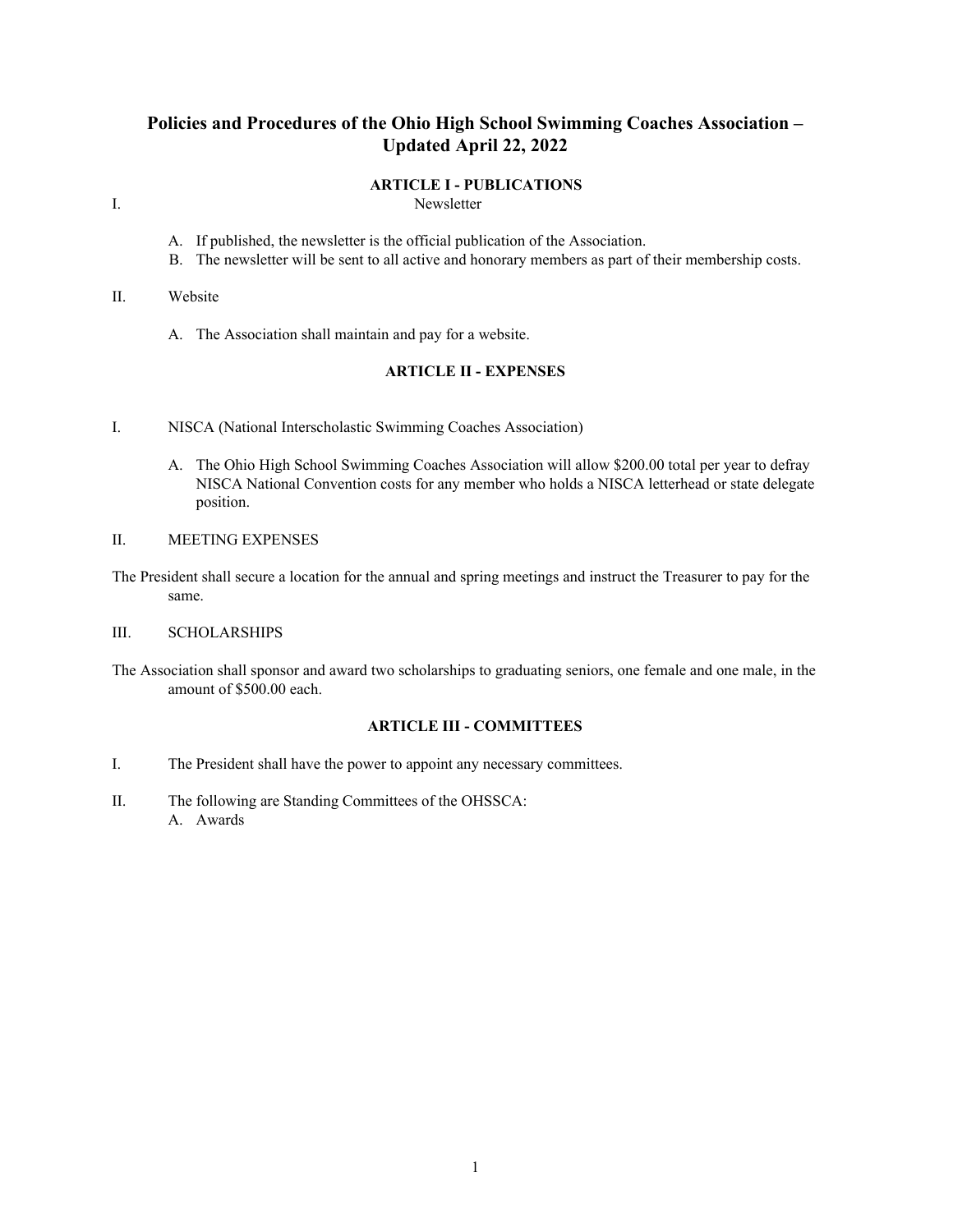# **Policies and Procedures of the Ohio High School Swimming Coaches Association – Updated April 22, 2022**

#### **ARTICLE I - PUBLICATIONS**

- I. Newsletter
	- A. If published, the newsletter is the official publication of the Association.
	- B. The newsletter will be sent to all active and honorary members as part of their membership costs.

#### II. Website

A. The Association shall maintain and pay for a website.

# **ARTICLE II - EXPENSES**

- I. NISCA (National Interscholastic Swimming Coaches Association)
	- A. The Ohio High School Swimming Coaches Association will allow \$200.00 total per year to defray NISCA National Convention costs for any member who holds a NISCA letterhead or state delegate position.
- II. MEETING EXPENSES
- The President shall secure a location for the annual and spring meetings and instruct the Treasurer to pay for the same.

### III. SCHOLARSHIPS

The Association shall sponsor and award two scholarships to graduating seniors, one female and one male, in the amount of \$500.00 each.

# **ARTICLE III - COMMITTEES**

- I. The President shall have the power to appoint any necessary committees.
- II. The following are Standing Committees of the OHSSCA: A. Awards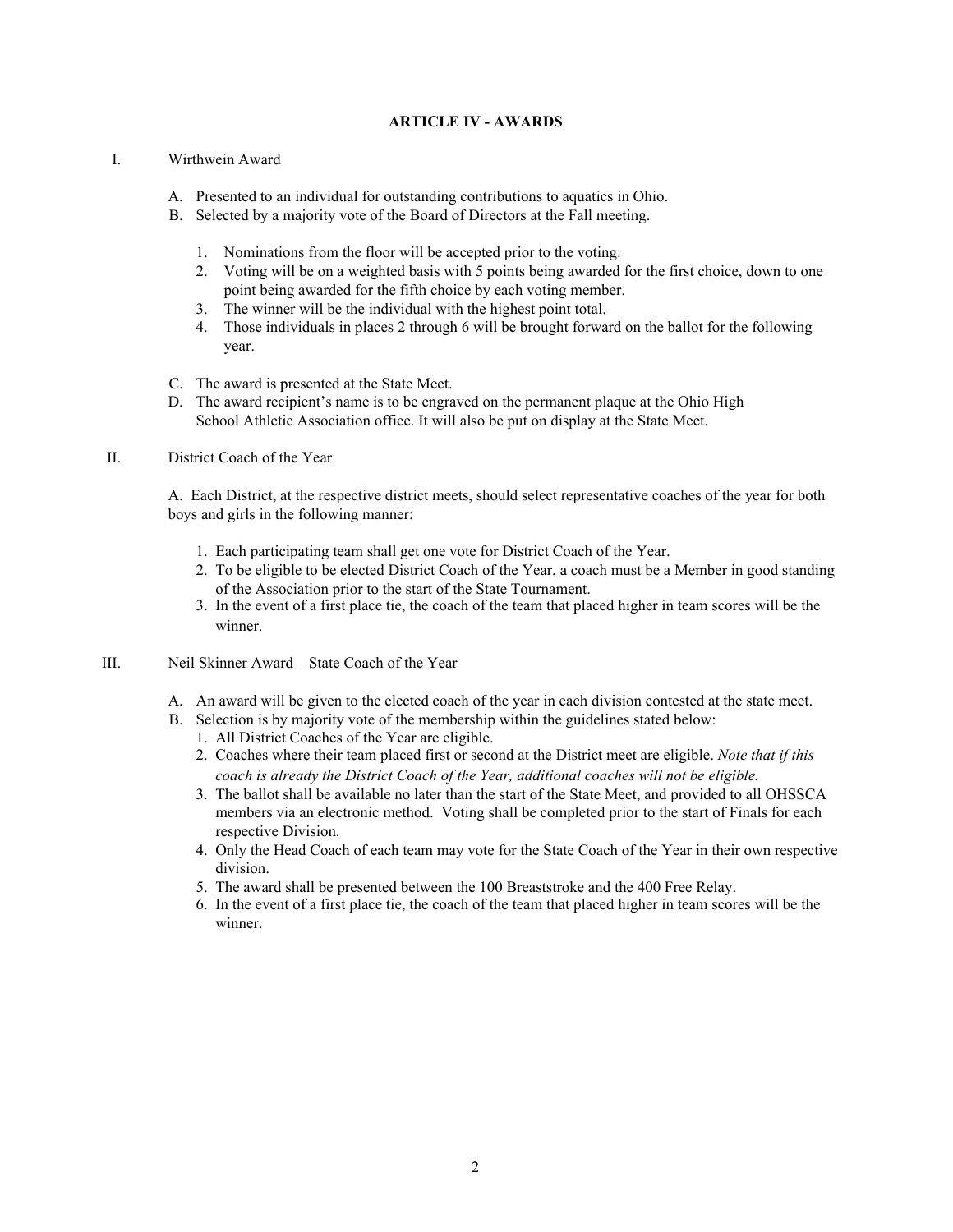# **ARTICLE IV - AWARDS**

#### I. Wirthwein Award

- A. Presented to an individual for outstanding contributions to aquatics in Ohio.
- B. Selected by a majority vote of the Board of Directors at the Fall meeting.
	- 1. Nominations from the floor will be accepted prior to the voting.
	- 2. Voting will be on a weighted basis with 5 points being awarded for the first choice, down to one point being awarded for the fifth choice by each voting member.
	- 3. The winner will be the individual with the highest point total.
	- 4. Those individuals in places 2 through 6 will be brought forward on the ballot for the following year.
- C. The award is presented at the State Meet.
- D. The award recipient's name is to be engraved on the permanent plaque at the Ohio High School Athletic Association office. It will also be put on display at the State Meet.

#### II. District Coach of the Year

A. Each District, at the respective district meets, should select representative coaches of the year for both boys and girls in the following manner:

- 1. Each participating team shall get one vote for District Coach of the Year.
- 2. To be eligible to be elected District Coach of the Year, a coach must be a Member in good standing of the Association prior to the start of the State Tournament.
- 3. In the event of a first place tie, the coach of the team that placed higher in team scores will be the winner.
- III. Neil Skinner Award State Coach of the Year
	- A. An award will be given to the elected coach of the year in each division contested at the state meet.
	- B. Selection is by majority vote of the membership within the guidelines stated below:
		- 1. All District Coaches of the Year are eligible.
		- 2. Coaches where their team placed first or second at the District meet are eligible. *Note that if this coach is already the District Coach of the Year, additional coaches will not be eligible.*
		- 3. The ballot shall be available no later than the start of the State Meet, and provided to all OHSSCA members via an electronic method. Voting shall be completed prior to the start of Finals for each respective Division.
		- 4. Only the Head Coach of each team may vote for the State Coach of the Year in their own respective division.
		- 5. The award shall be presented between the 100 Breaststroke and the 400 Free Relay.
		- 6. In the event of a first place tie, the coach of the team that placed higher in team scores will be the winner.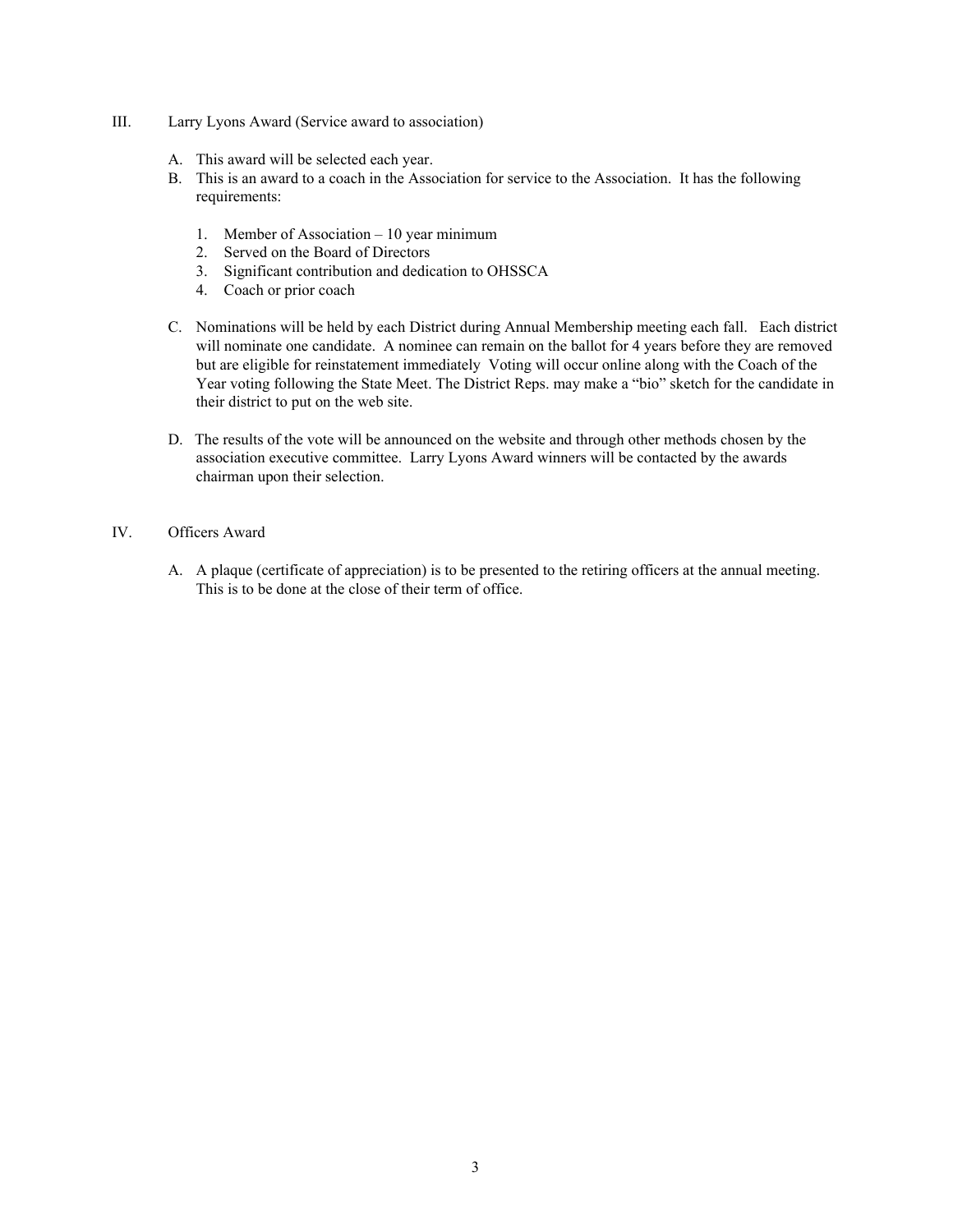- III. Larry Lyons Award (Service award to association)
	- A. This award will be selected each year.
	- B. This is an award to a coach in the Association for service to the Association. It has the following requirements:
		- 1. Member of Association 10 year minimum
		- 2. Served on the Board of Directors
		- 3. Significant contribution and dedication to OHSSCA
		- 4. Coach or prior coach
	- C. Nominations will be held by each District during Annual Membership meeting each fall. Each district will nominate one candidate. A nominee can remain on the ballot for 4 years before they are removed but are eligible for reinstatement immediately Voting will occur online along with the Coach of the Year voting following the State Meet. The District Reps. may make a "bio" sketch for the candidate in their district to put on the web site.
	- D. The results of the vote will be announced on the website and through other methods chosen by the association executive committee. Larry Lyons Award winners will be contacted by the awards chairman upon their selection.

# IV. Officers Award

A. A plaque (certificate of appreciation) is to be presented to the retiring officers at the annual meeting. This is to be done at the close of their term of office.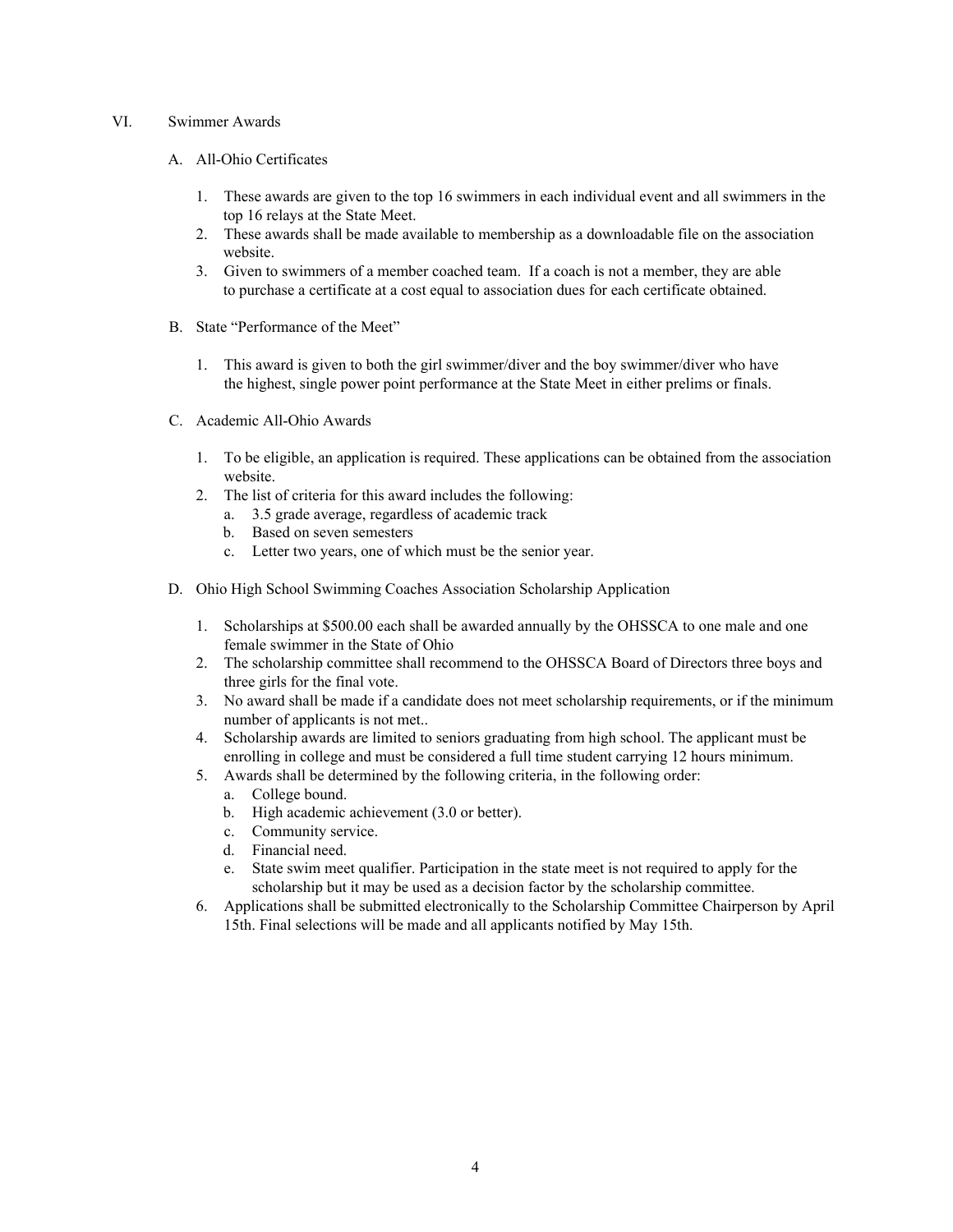#### VI. Swimmer Awards

- A. All-Ohio Certificates
	- 1. These awards are given to the top 16 swimmers in each individual event and all swimmers in the top 16 relays at the State Meet.
	- 2. These awards shall be made available to membership as a downloadable file on the association website.
	- 3. Given to swimmers of a member coached team. If a coach is not a member, they are able to purchase a certificate at a cost equal to association dues for each certificate obtained.
- B. State "Performance of the Meet"
	- 1. This award is given to both the girl swimmer/diver and the boy swimmer/diver who have the highest, single power point performance at the State Meet in either prelims or finals.
- C. Academic All-Ohio Awards
	- 1. To be eligible, an application is required. These applications can be obtained from the association website.
	- 2. The list of criteria for this award includes the following:
		- a. 3.5 grade average, regardless of academic track
		- b. Based on seven semesters
		- c. Letter two years, one of which must be the senior year.
- D. Ohio High School Swimming Coaches Association Scholarship Application
	- 1. Scholarships at \$500.00 each shall be awarded annually by the OHSSCA to one male and one female swimmer in the State of Ohio
	- 2. The scholarship committee shall recommend to the OHSSCA Board of Directors three boys and three girls for the final vote.
	- 3. No award shall be made if a candidate does not meet scholarship requirements, or if the minimum number of applicants is not met..
	- 4. Scholarship awards are limited to seniors graduating from high school. The applicant must be enrolling in college and must be considered a full time student carrying 12 hours minimum.
	- 5. Awards shall be determined by the following criteria, in the following order:
		- a. College bound.
		- b. High academic achievement (3.0 or better).
		- c. Community service.
		- d. Financial need.
		- e. State swim meet qualifier. Participation in the state meet is not required to apply for the scholarship but it may be used as a decision factor by the scholarship committee.
	- 6. Applications shall be submitted electronically to the Scholarship Committee Chairperson by April 15th. Final selections will be made and all applicants notified by May 15th.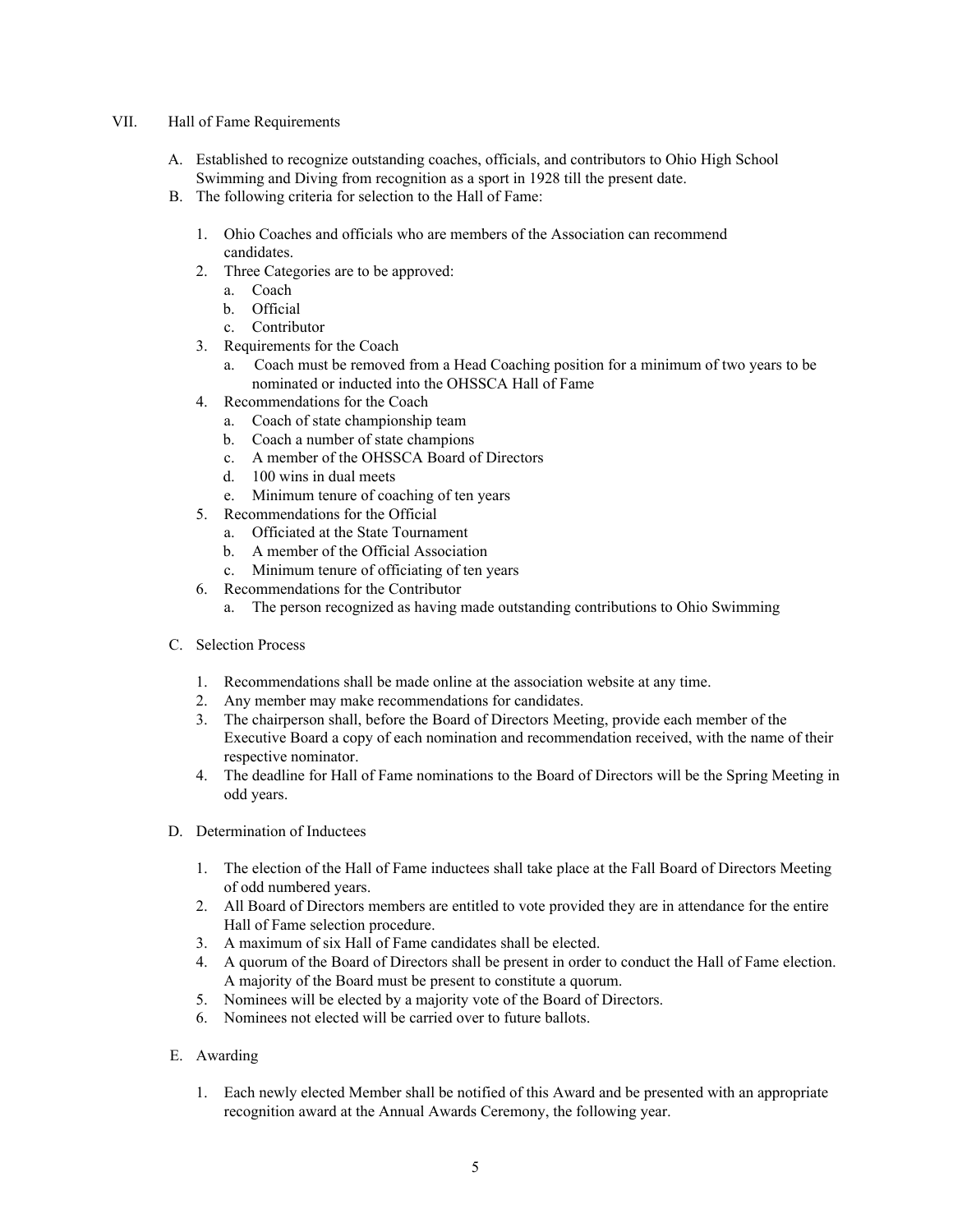#### VII. Hall of Fame Requirements

- A. Established to recognize outstanding coaches, officials, and contributors to Ohio High School Swimming and Diving from recognition as a sport in 1928 till the present date.
- B. The following criteria for selection to the Hall of Fame:
	- 1. Ohio Coaches and officials who are members of the Association can recommend candidates.
	- 2. Three Categories are to be approved:
		- a. Coach
		- b. Official
		- c. Contributor
	- 3. Requirements for the Coach
		- a. Coach must be removed from a Head Coaching position for a minimum of two years to be nominated or inducted into the OHSSCA Hall of Fame
	- 4. Recommendations for the Coach
		- a. Coach of state championship team
		- b. Coach a number of state champions
		- c. A member of the OHSSCA Board of Directors
		- d. 100 wins in dual meets
		- e. Minimum tenure of coaching of ten years
	- 5. Recommendations for the Official
		- a. Officiated at the State Tournament
		- b. A member of the Official Association
		- c. Minimum tenure of officiating of ten years
	- 6. Recommendations for the Contributor
		- a. The person recognized as having made outstanding contributions to Ohio Swimming
- C. Selection Process
	- 1. Recommendations shall be made online at the association website at any time.
	- 2. Any member may make recommendations for candidates.
	- 3. The chairperson shall, before the Board of Directors Meeting, provide each member of the Executive Board a copy of each nomination and recommendation received, with the name of their respective nominator.
	- 4. The deadline for Hall of Fame nominations to the Board of Directors will be the Spring Meeting in odd years.
- D. Determination of Inductees
	- 1. The election of the Hall of Fame inductees shall take place at the Fall Board of Directors Meeting of odd numbered years.
	- 2. All Board of Directors members are entitled to vote provided they are in attendance for the entire Hall of Fame selection procedure.
	- 3. A maximum of six Hall of Fame candidates shall be elected.
	- 4. A quorum of the Board of Directors shall be present in order to conduct the Hall of Fame election. A majority of the Board must be present to constitute a quorum.
	- 5. Nominees will be elected by a majority vote of the Board of Directors.
	- 6. Nominees not elected will be carried over to future ballots.
- E. Awarding
	- 1. Each newly elected Member shall be notified of this Award and be presented with an appropriate recognition award at the Annual Awards Ceremony, the following year.